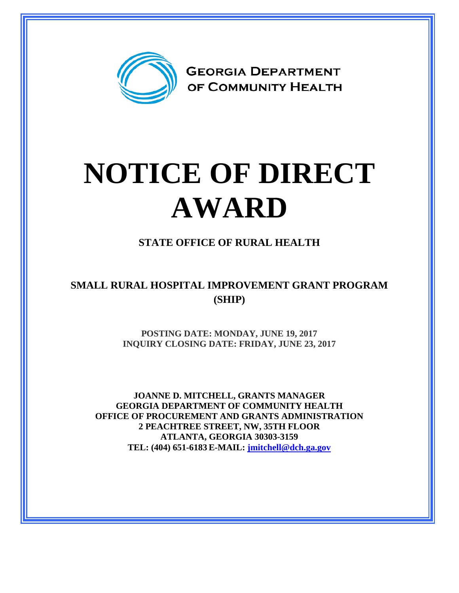

## **NOTICE OF DIRECT AWARD**

**STATE OFFICE OF RURAL HEALTH**

**SMALL RURAL HOSPITAL IMPROVEMENT GRANT PROGRAM (SHIP)**

> **POSTING DATE: MONDAY, JUNE 19, 2017 INQUIRY CLOSING DATE: FRIDAY, JUNE 23, 2017**

**JOANNE D. MITCHELL, GRANTS MANAGER GEORGIA DEPARTMENT OF COMMUNITY HEALTH OFFICE OF PROCUREMENT AND GRANTS ADMINISTRATION 2 PEACHTREE STREET, NW, 35TH FLOOR ATLANTA, GEORGIA 30303-3159 TEL: (404) 651-6183 E-MAIL: [jmitchell@dch.ga.gov](mailto:awatson@dch.ga.gov)**